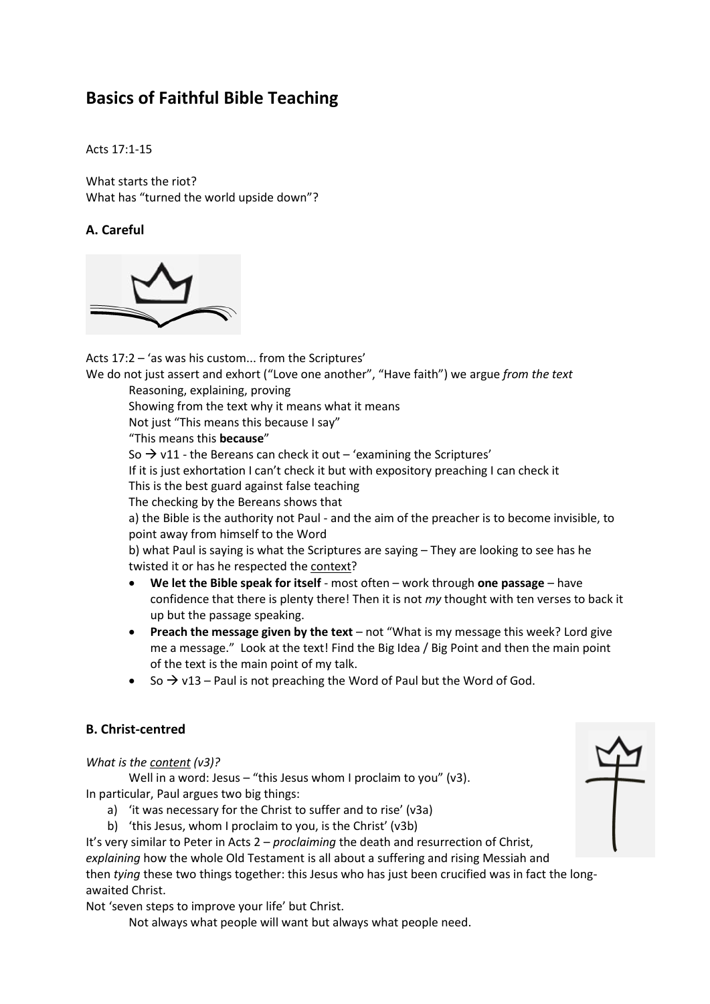# **Basics of Faithful Bible Teaching**

Acts 17:1-15

What starts the riot? What has "turned the world upside down"?

## **A. Careful**



Acts 17:2 – 'as was his custom... from the Scriptures'

We do not just assert and exhort ("Love one another", "Have faith") we argue *from the text* Reasoning, explaining, proving

Showing from the text why it means what it means

Not just "This means this because I say"

"This means this **because**"

So  $\rightarrow$  v11 - the Bereans can check it out – 'examining the Scriptures'

If it is just exhortation I can't check it but with expository preaching I can check it

This is the best guard against false teaching

The checking by the Bereans shows that

a) the Bible is the authority not Paul - and the aim of the preacher is to become invisible, to point away from himself to the Word

b) what Paul is saying is what the Scriptures are saying – They are looking to see has he twisted it or has he respected the context?

- **We let the Bible speak for itself** most often work through **one passage** have confidence that there is plenty there! Then it is not *my* thought with ten verses to back it up but the passage speaking.
- **Preach the message given by the text** not "What is my message this week? Lord give me a message." Look at the text! Find the Big Idea / Big Point and then the main point of the text is the main point of my talk.
- So  $\rightarrow$  v13 Paul is not preaching the Word of Paul but the Word of God.

## **B. Christ-centred**

*What is the content (v3)?* 

Well in a word: Jesus – "this Jesus whom I proclaim to you" (v3). In particular, Paul argues two big things:

- a) 'it was necessary for the Christ to suffer and to rise' (v3a)
- b) 'this Jesus, whom I proclaim to you, is the Christ' (v3b)

It's very similar to Peter in Acts 2 – *proclaiming* the death and resurrection of Christ, *explaining* how the whole Old Testament is all about a suffering and rising Messiah and then *tying* these two things together: this Jesus who has just been crucified was in fact the longawaited Christ.

Not 'seven steps to improve your life' but Christ.

Not always what people will want but always what people need.